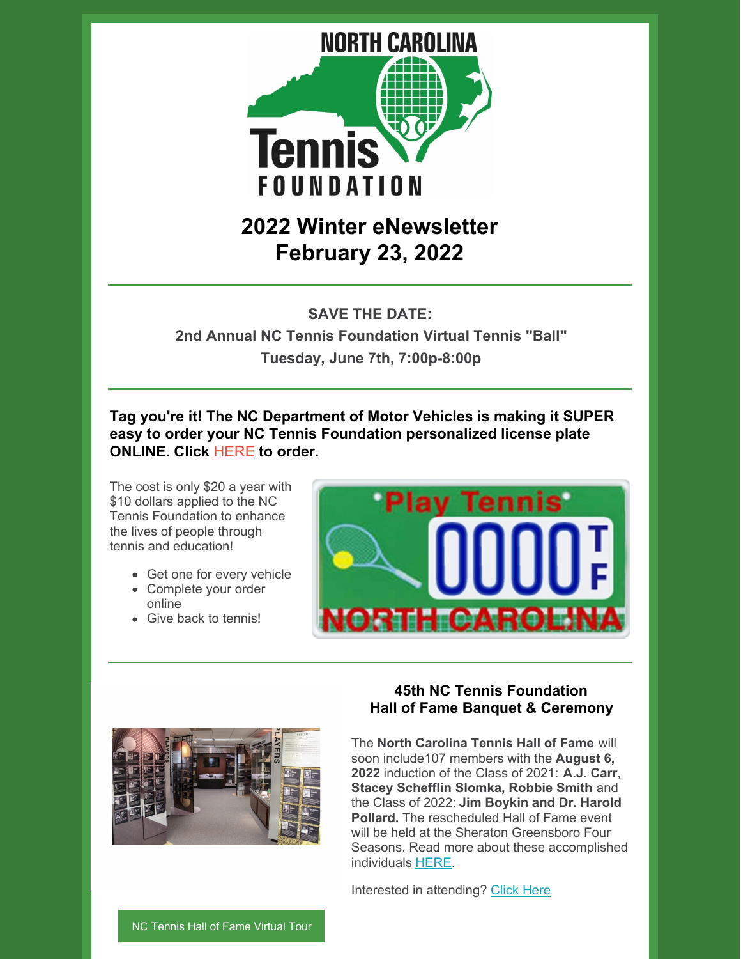

# **2022 Winter eNewsletter February 23, 2022**

**SAVE THE DATE:**

**2nd Annual NC Tennis Foundation Virtual Tennis "Ball" Tuesday, June 7th, 7:00p-8:00p**

**Tag you're it! The NC Department of Motor Vehicles is making it SUPER easy to order your NC Tennis Foundation personalized license plate ONLINE. Click** [HERE](https://payments.ncdot.gov/service/ncdmv/workflow/ncdmv_custom_plate/2) **to order.**

The cost is only \$20 a year with \$10 dollars applied to the NC Tennis Foundation to enhance the lives of people through tennis and education!

- Get one for every vehicle
- Complete your order online
- Give back to tennis!





## **45th NC Tennis Foundation Hall of Fame Banquet & Ceremony**

The **North Carolina Tennis Hall of Fame** will soon include107 members with the **August 6, 2022** induction of the Class of 2021: **A.J. Carr, Stacey Schefflin Slomka, Robbie Smith** and the Class of 2022: **Jim Boykin and Dr. Harold Pollard.** The rescheduled Hall of Fame event will be held at the Sheraton Greensboro Four Seasons. Read more about these accomplished individuals [HERE](https://www.nctennisfoundation.com/news).

Interested in attending? [Click](https://www.nctennis.com/tennisweekend-1) Here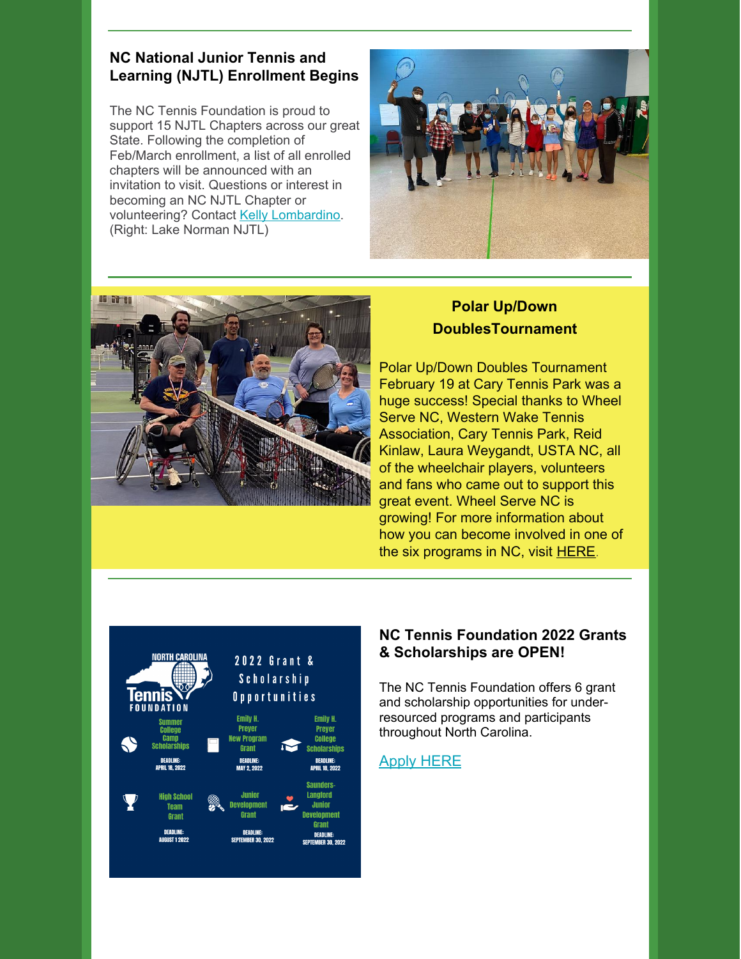### **NC National Junior Tennis and Learning (NJTL) Enrollment Begins**

The NC Tennis Foundation is proud to support 15 NJTL Chapters across our great State. Following the completion of Feb/March enrollment, a list of all enrolled chapters will be announced with an invitation to visit. Questions or interest in becoming an NC NJTL Chapter or volunteering? Contact Kelly [Lombardino](mailto:lombardinokelly@nctennis.com). (Right: Lake Norman NJTL)





# **Polar Up/Down DoublesTournament**

Polar Up/Down Doubles Tournament February 19 at Cary Tennis Park was a huge success! Special thanks to Wheel Serve NC, Western Wake Tennis Association, Cary Tennis Park, Reid Kinlaw, Laura Weygandt, USTA NC, all of the wheelchair players, volunteers and fans who came out to support this great event. Wheel Serve NC is growing! For more information about how you can become involved in one of the six programs in NC, visit [HERE](https://www.wheelservenc.com/?fbclid=IwAR2xkpBLAQFkt634Y5jbIIQegh-YG_2vKuU5xp_My-iEiiJMwVNy4eZincY).



## **NC Tennis Foundation 2022 Grants & Scholarships are OPEN!**

The NC Tennis Foundation offers 6 grant and scholarship opportunities for underresourced programs and participants throughout North Carolina.

#### Apply [HERE](https://www.nctennisfoundation.com/grants)